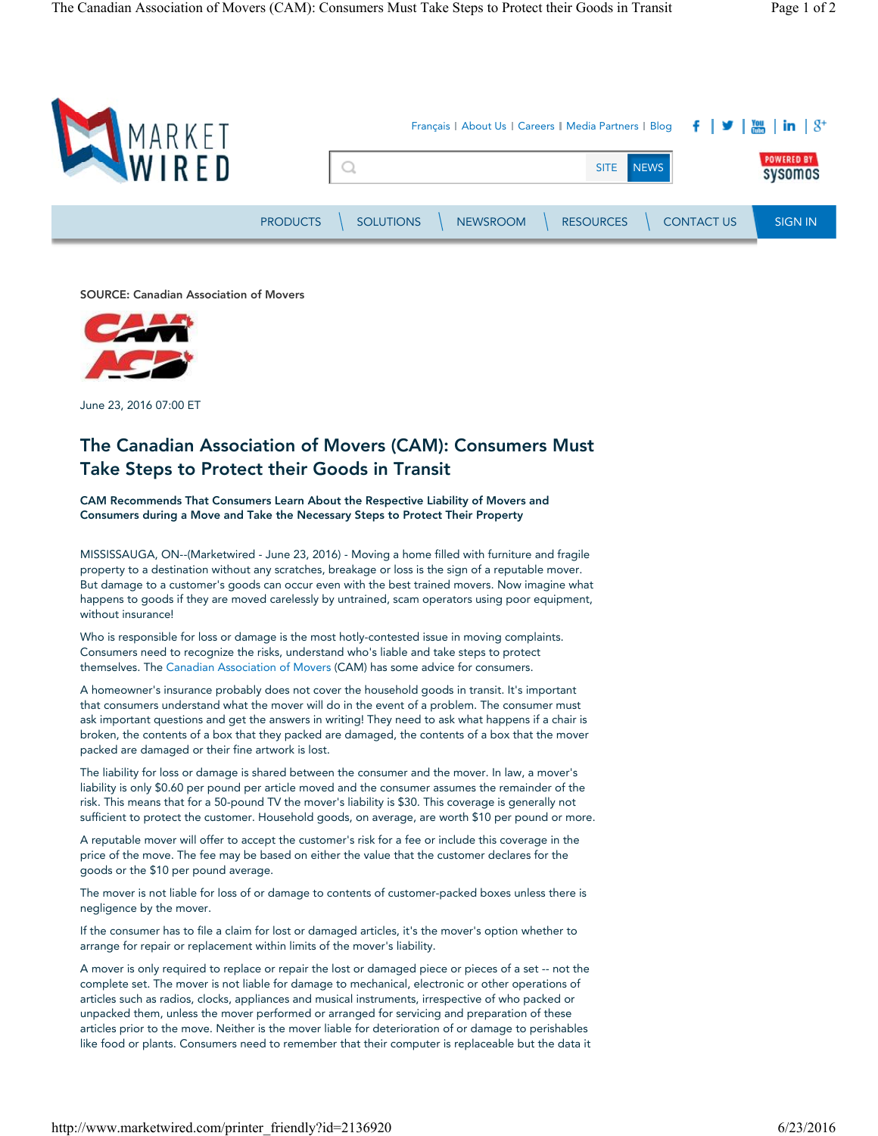

SOURCE: Canadian Association of Movers



June 23, 2016 07:00 ET

# The Canadian Association of Movers (CAM): Consumers Must Take Steps to Protect their Goods in Transit

CAM Recommends That Consumers Learn About the Respective Liability of Movers and Consumers during a Move and Take the Necessary Steps to Protect Their Property

MISSISSAUGA, ON--(Marketwired - June 23, 2016) - Moving a home filled with furniture and fragile property to a destination without any scratches, breakage or loss is the sign of a reputable mover. But damage to a customer's goods can occur even with the best trained movers. Now imagine what happens to goods if they are moved carelessly by untrained, scam operators using poor equipment, without insurance!

Who is responsible for loss or damage is the most hotly-contested issue in moving complaints. Consumers need to recognize the risks, understand who's liable and take steps to protect themselves. The Canadian Association of Movers (CAM) has some advice for consumers.

A homeowner's insurance probably does not cover the household goods in transit. It's important that consumers understand what the mover will do in the event of a problem. The consumer must ask important questions and get the answers in writing! They need to ask what happens if a chair is broken, the contents of a box that they packed are damaged, the contents of a box that the mover packed are damaged or their fine artwork is lost.

The liability for loss or damage is shared between the consumer and the mover. In law, a mover's liability is only \$0.60 per pound per article moved and the consumer assumes the remainder of the risk. This means that for a 50-pound TV the mover's liability is \$30. This coverage is generally not sufficient to protect the customer. Household goods, on average, are worth \$10 per pound or more.

A reputable mover will offer to accept the customer's risk for a fee or include this coverage in the price of the move. The fee may be based on either the value that the customer declares for the goods or the \$10 per pound average.

The mover is not liable for loss of or damage to contents of customer-packed boxes unless there is negligence by the mover.

If the consumer has to file a claim for lost or damaged articles, it's the mover's option whether to arrange for repair or replacement within limits of the mover's liability.

A mover is only required to replace or repair the lost or damaged piece or pieces of a set -- not the complete set. The mover is not liable for damage to mechanical, electronic or other operations of articles such as radios, clocks, appliances and musical instruments, irrespective of who packed or unpacked them, unless the mover performed or arranged for servicing and preparation of these articles prior to the move. Neither is the mover liable for deterioration of or damage to perishables like food or plants. Consumers need to remember that their computer is replaceable but the data it